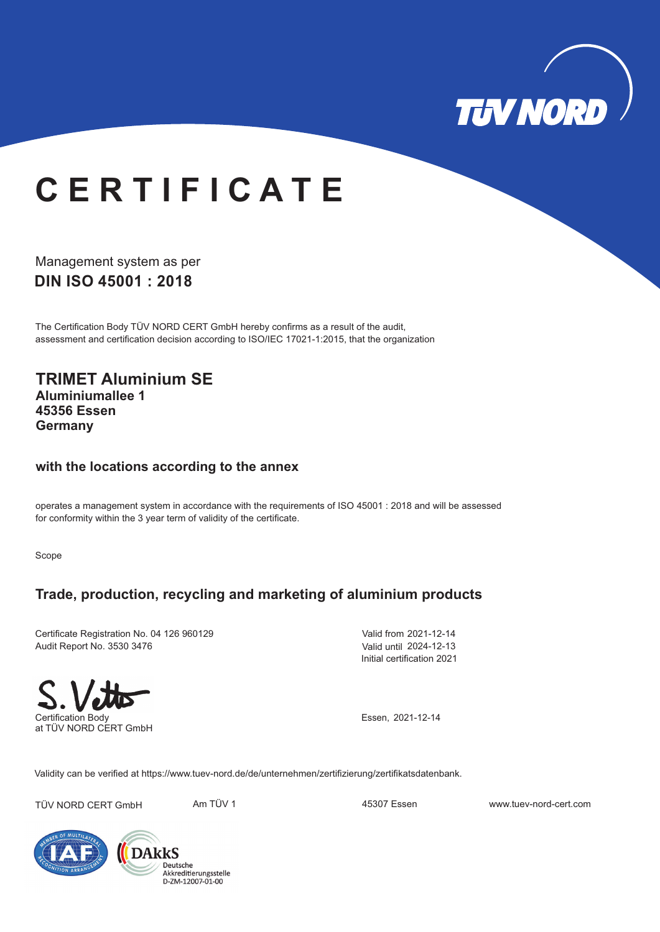

# **C E R T I F I C A T E**

**DIN ISO 45001 : 2018** Management system as per

The Certification Body TÜV NORD CERT GmbH hereby confirms as a result of the audit, assessment and certification decision according to ISO/IEC 17021-1:2015, that the organization

**TRIMET Aluminium SE Aluminiumallee 1 45356 Essen Germany**

#### **with the locations according to the annex**

operates a management system in accordance with the requirements of ISO 45001 : 2018 and will be assessed for conformity within the 3 year term of validity of the certificate.

Scope

#### **Trade, production, recycling and marketing of aluminium products**

Certificate Registration No. 04 126 960129 Audit Report No. 3530 3476

Valid from 2021-12-14 Valid until 2024-12-13 Initial certification 2021



at TÜV NORD CERT GmbH

Essen, 2021-12-14

Validity can be verified at https://www.tuev-nord.de/de/unternehmen/zertifizierung/zertifikatsdatenbank.

TÜV NORD CERT GmbH Am TÜV 1 45307 Essen www.tuev-nord-cert.com